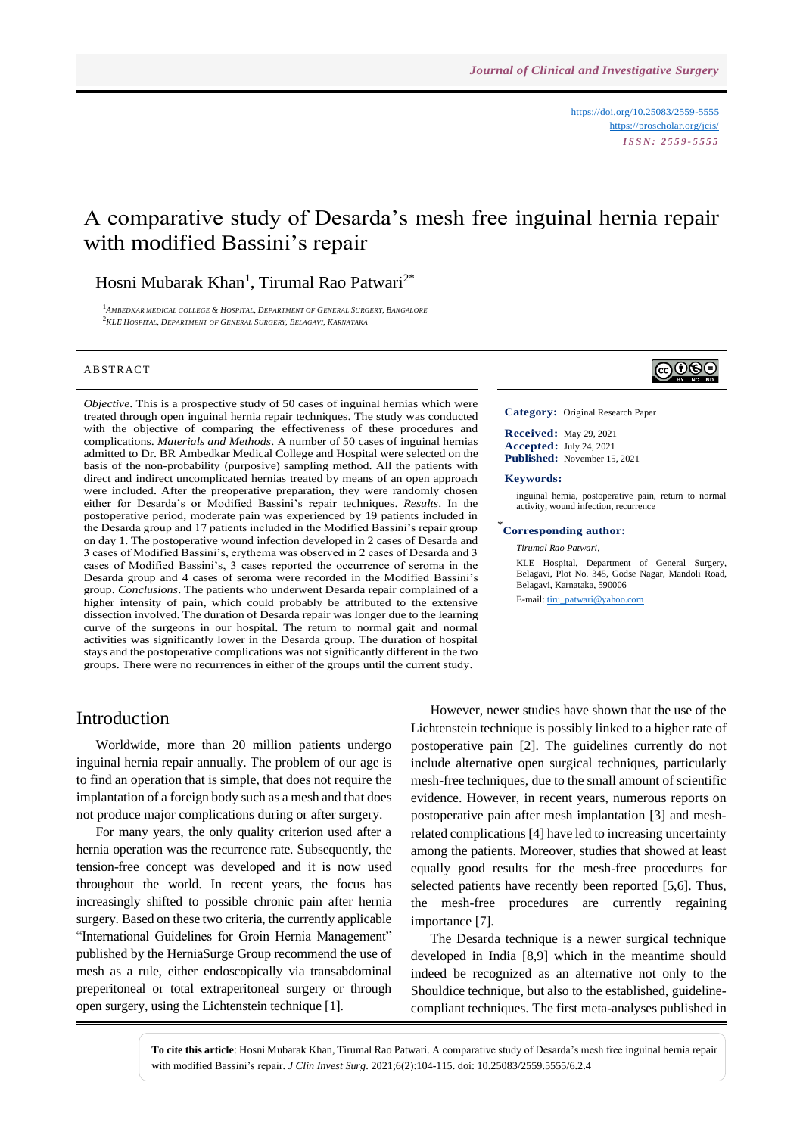<https://doi.org/10.25083/2559-5555> <https://proscholar.org/jcis/> *I S S N : 2 5 5 9 - 5 5 5 5*

# A comparative study of Desarda's mesh free inguinal hernia repair with modified Bassini's repair

# Hosni Mubarak Khan<sup>1</sup>, Tirumal Rao Patwari<sup>2\*</sup>

1 *AMBEDKAR MEDICAL COLLEGE & HOSPITAL, DEPARTMENT OF GENERAL SURGERY, BANGALORE* <sup>2</sup>*KLE HOSPITAL, DEPARTMENT OF GENERAL SURGERY, BELAGAVI, KARNATAKA*

#### **ABSTRACT**

*Objective*. This is a prospective study of 50 cases of inguinal hernias which were treated through open inguinal hernia repair techniques. The study was conducted with the objective of comparing the effectiveness of these procedures and complications. *Materials and Methods*. A number of 50 cases of inguinal hernias admitted to Dr. BR Ambedkar Medical College and Hospital were selected on the basis of the non-probability (purposive) sampling method. All the patients with direct and indirect uncomplicated hernias treated by means of an open approach were included. After the preoperative preparation, they were randomly chosen either for Desarda's or Modified Bassini's repair techniques. *Results*. In the postoperative period, moderate pain was experienced by 19 patients included in the Desarda group and 17 patients included in the Modified Bassini's repair group on day 1. The postoperative wound infection developed in 2 cases of Desarda and 3 cases of Modified Bassini's, erythema was observed in 2 cases of Desarda and 3 cases of Modified Bassini's, 3 cases reported the occurrence of seroma in the Desarda group and 4 cases of seroma were recorded in the Modified Bassini's group. *Conclusions*. The patients who underwent Desarda repair complained of a higher intensity of pain, which could probably be attributed to the extensive dissection involved. The duration of Desarda repair was longer due to the learning curve of the surgeons in our hospital. The return to normal gait and normal activities was significantly lower in the Desarda group. The duration of hospital stays and the postoperative complications was not significantly different in the two groups. There were no recurrences in either of the groups until the current study.

# ∣ଢ⊕®

**Category:** Original Research Paper

**Received:** May 29, 2021 **Accepted:** July 24, 2021 **Published:** November 15, 2021

#### **Keywords:**

inguinal hernia, postoperative pain, return to normal activity, wound infection, recurrence

### \* **Corresponding author:**

*Tirumal Rao Patwari,*

KLE Hospital, Department of General Surgery, Belagavi, Plot No. 345, Godse Nagar, Mandoli Road, Belagavi, Karnataka, 590006

E-mail: [tiru\\_patwari@yahoo.com](mailto:tiru_patwari@yahoo.com)

### Introduction

Worldwide, more than 20 million patients undergo inguinal hernia repair annually. The problem of our age is to find an operation that is simple, that does not require the implantation of a foreign body such as a mesh and that does not produce major complications during or after surgery.

For many years, the only quality criterion used after a hernia operation was the recurrence rate. Subsequently, the tension-free concept was developed and it is now used throughout the world. In recent years, the focus has increasingly shifted to possible chronic pain after hernia surgery. Based on these two criteria, the currently applicable "International Guidelines for Groin Hernia Management" published by the HerniaSurge Group recommend the use of mesh as a rule, either endoscopically via transabdominal preperitoneal or total extraperitoneal surgery or through open surgery, using the Lichtenstein technique [1].

However, newer studies have shown that the use of the Lichtenstein technique is possibly linked to a higher rate of postoperative pain [2]. The guidelines currently do not include alternative open surgical techniques, particularly mesh-free techniques, due to the small amount of scientific evidence. However, in recent years, numerous reports on postoperative pain after mesh implantation [3] and meshrelated complications [4] have led to increasing uncertainty among the patients. Moreover, studies that showed at least equally good results for the mesh-free procedures for selected patients have recently been reported [5,6]. Thus, the mesh-free procedures are currently regaining importance [7].

The Desarda technique is a newer surgical technique developed in India [8,9] which in the meantime should indeed be recognized as an alternative not only to the Shouldice technique, but also to the established, guidelinecompliant techniques. The first meta-analyses published in

**To cite this article**: Hosni Mubarak Khan, Tirumal Rao Patwari. A comparative study of Desarda's mesh free inguinal hernia repair with modified Bassini's repair. *J Clin Invest Surg*. 2021;6(2):104-115. doi: 10.25083/2559.5555/6.2.4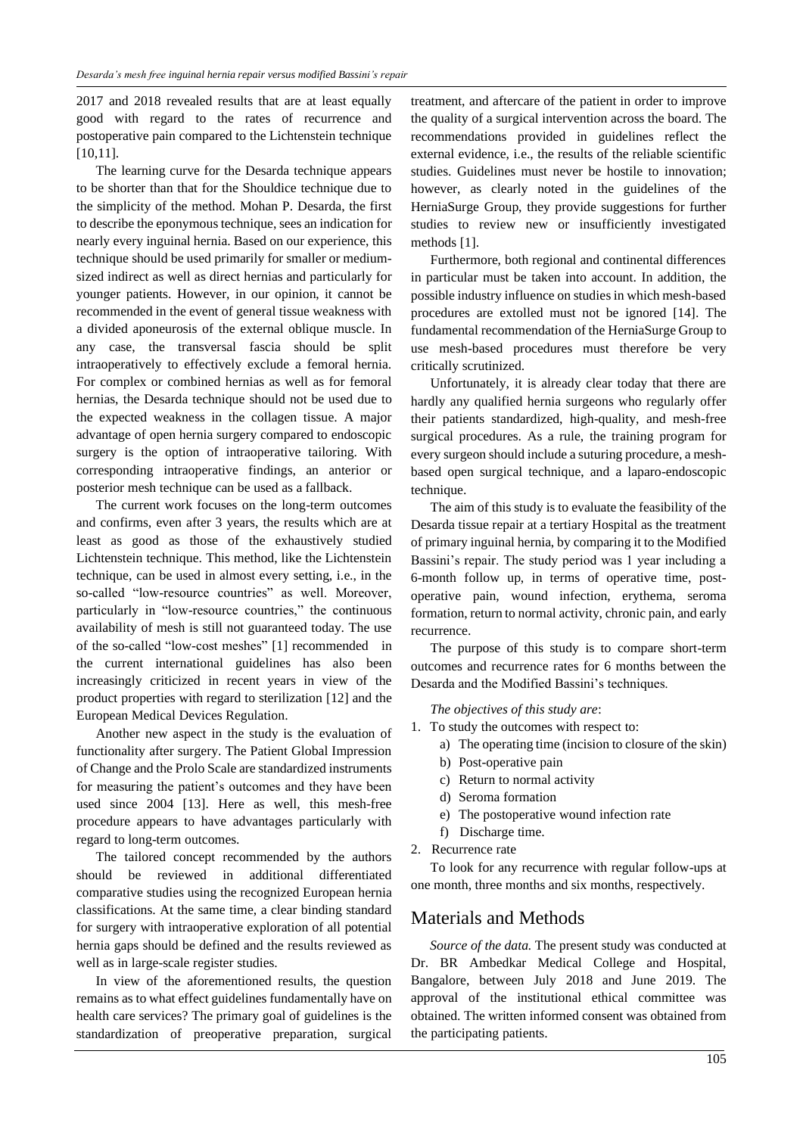2017 and 2018 revealed results that are at least equally good with regard to the rates of recurrence and postoperative pain compared to the Lichtenstein technique [10,11].

The learning curve for the Desarda technique appears to be shorter than that for the Shouldice technique due to the simplicity of the method. Mohan P. Desarda, the first to describe the eponymous technique, sees an indication for nearly every inguinal hernia. Based on our experience, this technique should be used primarily for smaller or mediumsized indirect as well as direct hernias and particularly for younger patients. However, in our opinion, it cannot be recommended in the event of general tissue weakness with a divided aponeurosis of the external oblique muscle. In any case, the transversal fascia should be split intraoperatively to effectively exclude a femoral hernia. For complex or combined hernias as well as for femoral hernias, the Desarda technique should not be used due to the expected weakness in the collagen tissue. A major advantage of open hernia surgery compared to endoscopic surgery is the option of intraoperative tailoring. With corresponding intraoperative findings, an anterior or posterior mesh technique can be used as a fallback.

The current work focuses on the long-term outcomes and confirms, even after 3 years, the results which are at least as good as those of the exhaustively studied Lichtenstein technique. This method, like the Lichtenstein technique, can be used in almost every setting, i.e., in the so-called "low-resource countries" as well. Moreover, particularly in "low-resource countries," the continuous availability of mesh is still not guaranteed today. The use of the so-called "low-cost meshes" [1] recommended in the current international guidelines has also been increasingly criticized in recent years in view of the product properties with regard to sterilization [12] and the European Medical Devices Regulation.

Another new aspect in the study is the evaluation of functionality after surgery. The Patient Global Impression of Change and the Prolo Scale are standardized instruments for measuring the patient's outcomes and they have been used since 2004 [13]. Here as well, this mesh-free procedure appears to have advantages particularly with regard to long-term outcomes.

The tailored concept recommended by the authors should be reviewed in additional differentiated comparative studies using the recognized European hernia classifications. At the same time, a clear binding standard for surgery with intraoperative exploration of all potential hernia gaps should be defined and the results reviewed as well as in large-scale register studies.

In view of the aforementioned results, the question remains as to what effect guidelines fundamentally have on health care services? The primary goal of guidelines is the standardization of preoperative preparation, surgical

treatment, and aftercare of the patient in order to improve the quality of a surgical intervention across the board. The recommendations provided in guidelines reflect the external evidence, i.e., the results of the reliable scientific studies. Guidelines must never be hostile to innovation; however, as clearly noted in the guidelines of the HerniaSurge Group, they provide suggestions for further studies to review new or insufficiently investigated methods [1].

Furthermore, both regional and continental differences in particular must be taken into account. In addition, the possible industry influence on studies in which mesh-based procedures are extolled must not be ignored [14]. The fundamental recommendation of the HerniaSurge Group to use mesh-based procedures must therefore be very critically scrutinized.

Unfortunately, it is already clear today that there are hardly any qualified hernia surgeons who regularly offer their patients standardized, high-quality, and mesh-free surgical procedures. As a rule, the training program for every surgeon should include a suturing procedure, a meshbased open surgical technique, and a laparo-endoscopic technique.

The aim of this study is to evaluate the feasibility of the Desarda tissue repair at a tertiary Hospital as the treatment of primary inguinal hernia, by comparing it to the Modified Bassini's repair. The study period was 1 year including a 6-month follow up, in terms of operative time, postoperative pain, wound infection, erythema, seroma formation, return to normal activity, chronic pain, and early recurrence.

The purpose of this study is to compare short-term outcomes and recurrence rates for 6 months between the Desarda and the Modified Bassini's techniques.

*The objectives of this study are*:

- 1. To study the outcomes with respect to:
	- a) The operating time (incision to closure of the skin)
	- b) Post-operative pain
	- c) Return to normal activity
	- d) Seroma formation
	- e) The postoperative wound infection rate
	- f) Discharge time.
- 2. Recurrence rate

To look for any recurrence with regular follow-ups at one month, three months and six months, respectively.

### Materials and Methods

*Source of the data.* The present study was conducted at Dr. BR Ambedkar Medical College and Hospital, Bangalore, between July 2018 and June 2019. The approval of the institutional ethical committee was obtained. The written informed consent was obtained from the participating patients.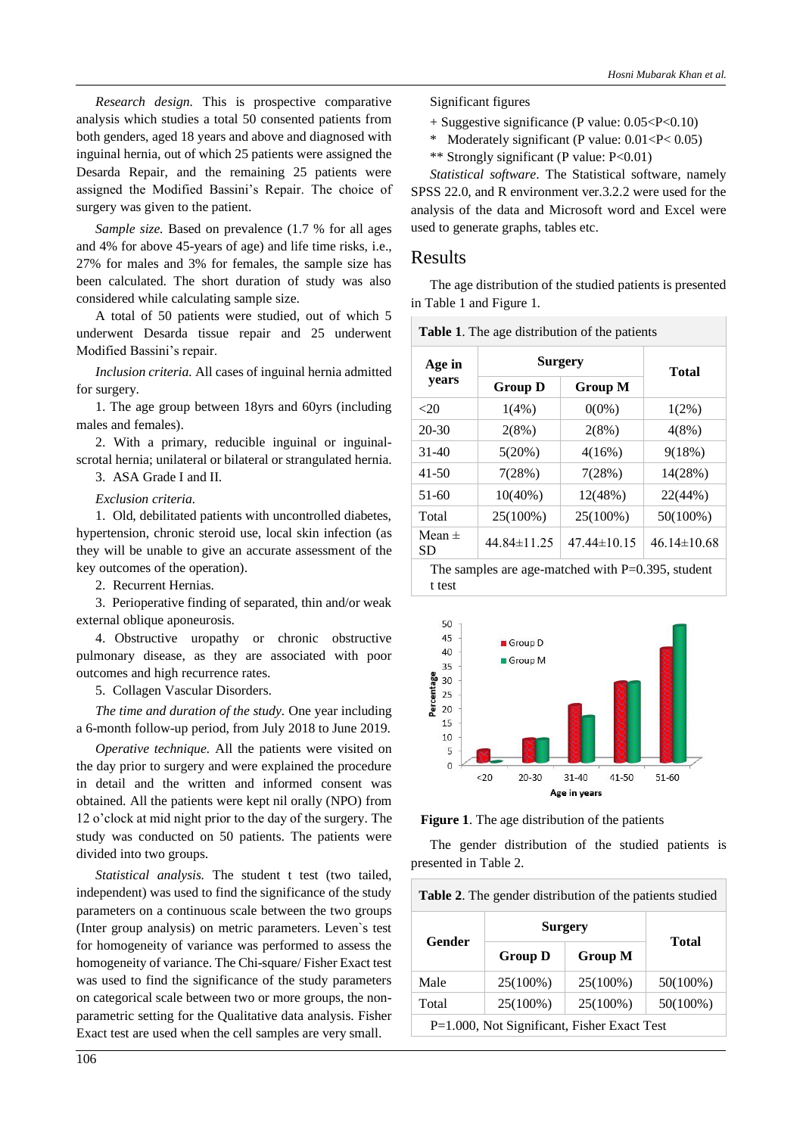*Research design.* This is prospective comparative analysis which studies a total 50 consented patients from both genders, aged 18 years and above and diagnosed with inguinal hernia, out of which 25 patients were assigned the Desarda Repair, and the remaining 25 patients were assigned the Modified Bassini's Repair. The choice of surgery was given to the patient.

*Sample size.* Based on prevalence (1.7 % for all ages and 4% for above 45-years of age) and life time risks, i.e., 27% for males and 3% for females, the sample size has been calculated. The short duration of study was also considered while calculating sample size.

A total of 50 patients were studied, out of which 5 underwent Desarda tissue repair and 25 underwent Modified Bassini's repair.

*Inclusion criteria.* All cases of inguinal hernia admitted for surgery.

1. The age group between 18yrs and 60yrs (including males and females).

2. With a primary, reducible inguinal or inguinalscrotal hernia; unilateral or bilateral or strangulated hernia.

3. ASA Grade I and II.

*Exclusion criteria.* 

1. Old, debilitated patients with uncontrolled diabetes, hypertension, chronic steroid use, local skin infection (as they will be unable to give an accurate assessment of the key outcomes of the operation).

2. Recurrent Hernias.

3. Perioperative finding of separated, thin and/or weak external oblique aponeurosis.

4. Obstructive uropathy or chronic obstructive pulmonary disease, as they are associated with poor outcomes and high recurrence rates.

5. Collagen Vascular Disorders.

*The time and duration of the study.* One year including a 6-month follow-up period, from July 2018 to June 2019.

*Operative technique.* All the patients were visited on the day prior to surgery and were explained the procedure in detail and the written and informed consent was obtained. All the patients were kept nil orally (NPO) from 12 o'clock at mid night prior to the day of the surgery. The study was conducted on 50 patients. The patients were divided into two groups.

*Statistical analysis.* The student t test (two tailed, independent) was used to find the significance of the study parameters on a continuous scale between the two groups (Inter group analysis) on metric parameters. Leven`s test for homogeneity of variance was performed to assess the homogeneity of variance. The Chi-square/ Fisher Exact test was used to find the significance of the study parameters on categorical scale between two or more groups, the nonparametric setting for the Qualitative data analysis. Fisher Exact test are used when the cell samples are very small.

Significant figures

- + Suggestive significance (P value: 0.05<P<0.10)
- \* Moderately significant (P value: 0.01<P< 0.05)
- \*\* Strongly significant (P value: P<0.01)

*Statistical software*. The Statistical software, namely SPSS 22.0, and R environment ver.3.2.2 were used for the analysis of the data and Microsoft word and Excel were used to generate graphs, tables etc.

#### Results

The age distribution of the studied patients is presented in Table 1 and Figure 1.

| Age in<br>years  |                                  | <b>Surgery</b>    |                   |  |
|------------------|----------------------------------|-------------------|-------------------|--|
|                  | <b>Group D</b><br><b>Group M</b> |                   | <b>Total</b>      |  |
| <20              | 1(4%)                            | $0(0\%)$          | $1(2\%)$          |  |
| $20 - 30$        | 2(8%)                            | 2(8%)             | 4(8%)             |  |
| $31 - 40$        | 5(20%)                           | $4(16\%)$         | 9(18%)            |  |
| $41 - 50$        | 7(28%)                           | 7(28%)            | 14(28%)           |  |
| $51-60$          | $10(40\%)$                       | 12(48%)           | 22(44%)           |  |
| Total            | 25(100%)                         | 25(100%)          | $50(100\%)$       |  |
| Mean $\pm$<br>SD | $44.84 \pm 11.25$                | $47.44 \pm 10.15$ | $46.14 \pm 10.68$ |  |





**Figure 1**. The age distribution of the patients

The gender distribution of the studied patients is presented in Table 2.

| <b>Table 2.</b> The gender distribution of the patients studied |                |                |             |  |  |
|-----------------------------------------------------------------|----------------|----------------|-------------|--|--|
| Gender                                                          | <b>Surgery</b> | Total          |             |  |  |
|                                                                 | <b>Group D</b> | <b>Group M</b> |             |  |  |
| Male                                                            | 25(100%)       | $25(100\%)$    | $50(100\%)$ |  |  |
| Total<br>25(100%)<br>25(100%)<br>$50(100\%)$                    |                |                |             |  |  |
| P=1.000, Not Significant, Fisher Exact Test                     |                |                |             |  |  |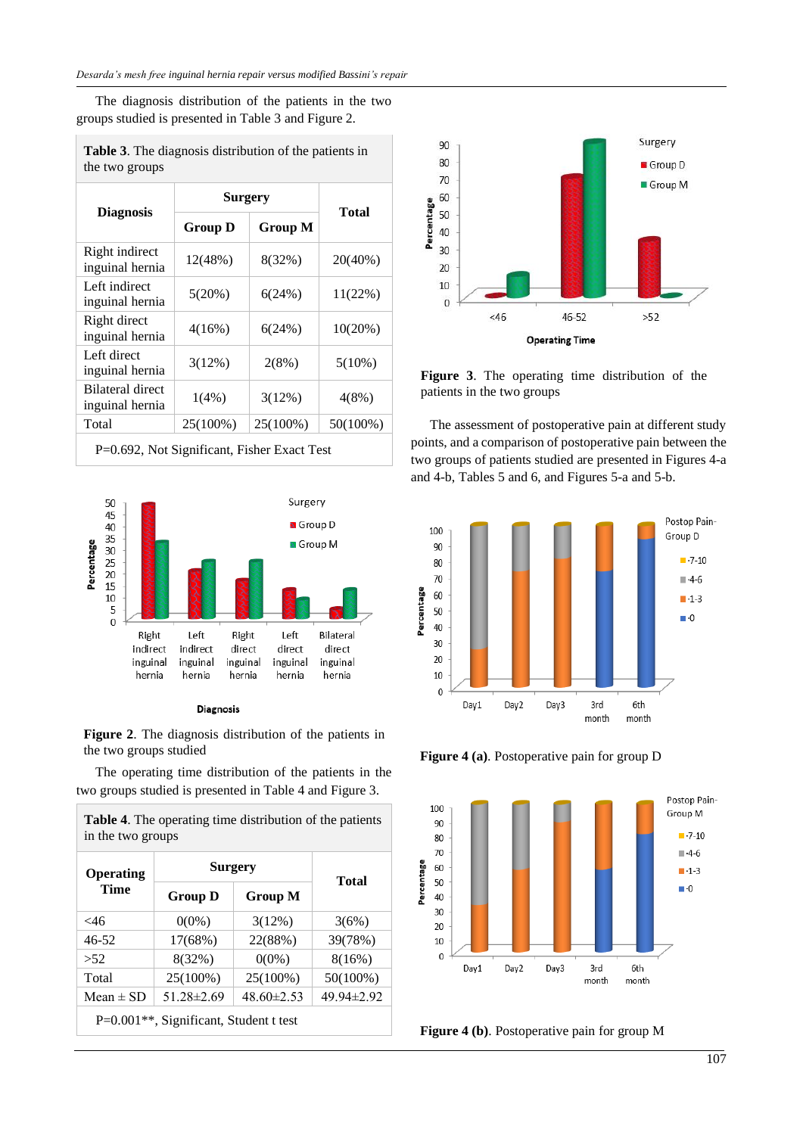The diagnosis distribution of the patients in the two groups studied is presented in Table 3 and Figure 2.

|                                     | <b>Surgery</b> |                |            |  |
|-------------------------------------|----------------|----------------|------------|--|
| <b>Diagnosis</b>                    | <b>Group D</b> | <b>Group M</b> | Total      |  |
| Right indirect<br>inguinal hernia   | 12(48%)        | 8(32%)         | $20(40\%)$ |  |
| Left indirect<br>inguinal hernia    | 5(20%)         | 6(24%)         | 11(22%)    |  |
| Right direct<br>inguinal hernia     | 4(16%)         | 6(24%)         | 10(20%)    |  |
| Left direct<br>inguinal hernia      | 3(12%)         | 2(8%)          | $5(10\%)$  |  |
| Bilateral direct<br>inguinal hernia | $1(4\%)$       | 3(12%)         | $4(8\%)$   |  |
| Total                               | 25(100%)       | 25(100%)       | 50(100%)   |  |

**Table 3**. The diagnosis distribution of the patients in the two groups

P=0.692, Not Significant, Fisher Exact Test





**Figure 2**. The diagnosis distribution of the patients in the two groups studied

The operating time distribution of the patients in the two groups studied is presented in Table 4 and Figure 3.

| <b>Operating</b><br>Time                            | <b>Surgery</b>   |            |                  |  |
|-----------------------------------------------------|------------------|------------|------------------|--|
|                                                     | <b>Group D</b>   | Group M    | Total            |  |
| $<$ 46                                              | $0(0\%)$         | $3(12\%)$  | 3(6%)            |  |
| $46 - 52$                                           | 17(68%)          | 22(88%)    | 39(78%)          |  |
| >52                                                 | 8(32%)           | $0(0\%)$   | 8(16%)           |  |
| Total                                               | 25(100%)         | 25(100%)   | 50(100%)         |  |
| Mean $\pm$ SD                                       | $51.28 \pm 2.69$ | 48.60±2.53 | $49.94 \pm 2.92$ |  |
| P=0.001 <sup>**</sup> , Significant, Student t test |                  |            |                  |  |

**Table 4**. The operating time distribution of the patients in the two groups



**Figure 3**. The operating time distribution of the patients in the two groups

The assessment of postoperative pain at different study points, and a comparison of postoperative pain between the two groups of patients studied are presented in Figures 4-a and 4-b, Tables 5 and 6, and Figures 5-a and 5-b.



**Figure 4 (a)**. Postoperative pain for group D



**Figure 4 (b)**. Postoperative pain for group M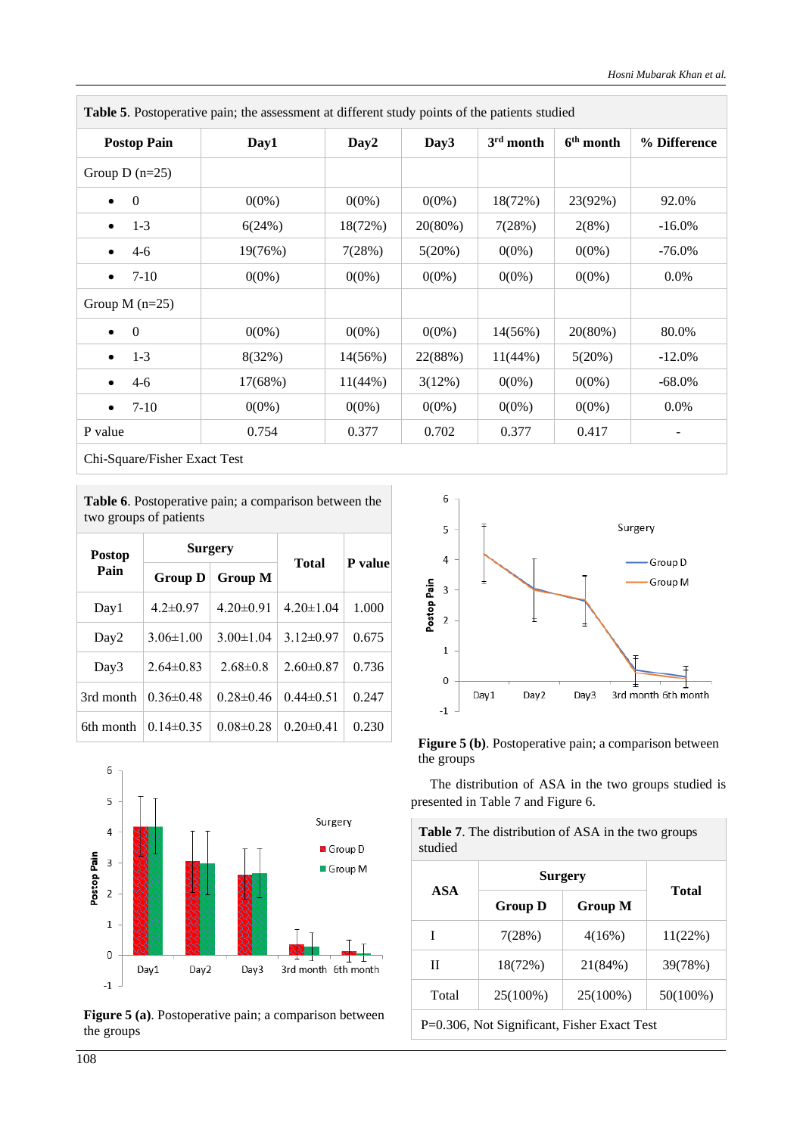| <b>Postop Pain</b>    | Day1     | Day <sub>2</sub> | Day <sub>3</sub> | $3rd$ month | $6th$ month | % Difference             |
|-----------------------|----------|------------------|------------------|-------------|-------------|--------------------------|
| Group D $(n=25)$      |          |                  |                  |             |             |                          |
| $\Omega$<br>$\bullet$ | $0(0\%)$ | $0(0\%)$         | $0(0\%)$         | 18(72%)     | 23(92%)     | 92.0%                    |
| $1-3$<br>$\bullet$    | 6(24%)   | 18(72%)          | 20(80%)          | 7(28%)      | 2(8%)       | $-16.0\%$                |
| $4-6$<br>$\bullet$    | 19(76%)  | 7(28%)           | 5(20%)           | $0(0\%)$    | $0(0\%)$    | $-76.0\%$                |
| $7-10$                | $0(0\%)$ | $0(0\%)$         | $0(0\%)$         | $0(0\%)$    | $0(0\%)$    | $0.0\%$                  |
| Group M $(n=25)$      |          |                  |                  |             |             |                          |
| $\Omega$<br>$\bullet$ | $0(0\%)$ | $0(0\%)$         | $0(0\%)$         | $14(56\%)$  | 20(80%)     | 80.0%                    |
| $1-3$<br>$\bullet$    | 8(32%)   | $14(56\%)$       | 22(88%)          | $11(44\%)$  | 5(20%)      | $-12.0\%$                |
| $4 - 6$               | 17(68%)  | $11(44\%)$       | 3(12%)           | $0(0\%)$    | $0(0\%)$    | -68.0%                   |
| $7-10$<br>$\bullet$   | $0(0\%)$ | $0(0\%)$         | $0(0\%)$         | $0(0\%)$    | $0(0\%)$    | $0.0\%$                  |
| P value               | 0.754    | 0.377            | 0.702            | 0.377       | 0.417       | $\overline{\phantom{a}}$ |

**Table 5**. Postoperative pain; the assessment at different study points of the patients studied

Chi-Square/Fisher Exact Test

**Table 6**. Postoperative pain; a comparison between the two groups of patients

| <b>Postop</b>    |                 | <b>Surgery</b>  |                 | P value |  |
|------------------|-----------------|-----------------|-----------------|---------|--|
| Pain             | Group D         | <b>Group M</b>  | <b>Total</b>    |         |  |
| Day1             | $4.2 \pm 0.97$  | $4.20 \pm 0.91$ | $4.20 \pm 1.04$ | 1.000   |  |
| Day <sub>2</sub> | $3.06 \pm 1.00$ | $3.00 \pm 1.04$ | $3.12 \pm 0.97$ | 0.675   |  |
| Day3             | $2.64 \pm 0.83$ | $2.68 \pm 0.8$  | $2.60\pm0.87$   | 0.736   |  |
| 3rd month        | $0.36 \pm 0.48$ | $0.28 \pm 0.46$ | $0.44 \pm 0.51$ | 0.247   |  |
| 6th month        | $0.14\pm0.35$   | $0.08 \pm 0.28$ | $0.20 \pm 0.41$ | 0.230   |  |



**Figure 5 (a)**. Postoperative pain; a comparison between the groups



**Figure 5 (b)**. Postoperative pain; a comparison between the groups

The distribution of ASA in the two groups studied is presented in Table 7 and Figure 6.

**Table 7**. The distribution of ASA in the two groups studied

| <b>ASA</b>                                  | Surgery        | Total    |             |  |
|---------------------------------------------|----------------|----------|-------------|--|
|                                             | <b>Group D</b> | Group M  |             |  |
| I                                           | 7(28%)         | 4(16%)   | 11(22%)     |  |
| Н                                           | 18(72%)        | 21(84%)  | 39(78%)     |  |
| Total                                       | 25(100%)       | 25(100%) | $50(100\%)$ |  |
| P=0.306, Not Significant, Fisher Exact Test |                |          |             |  |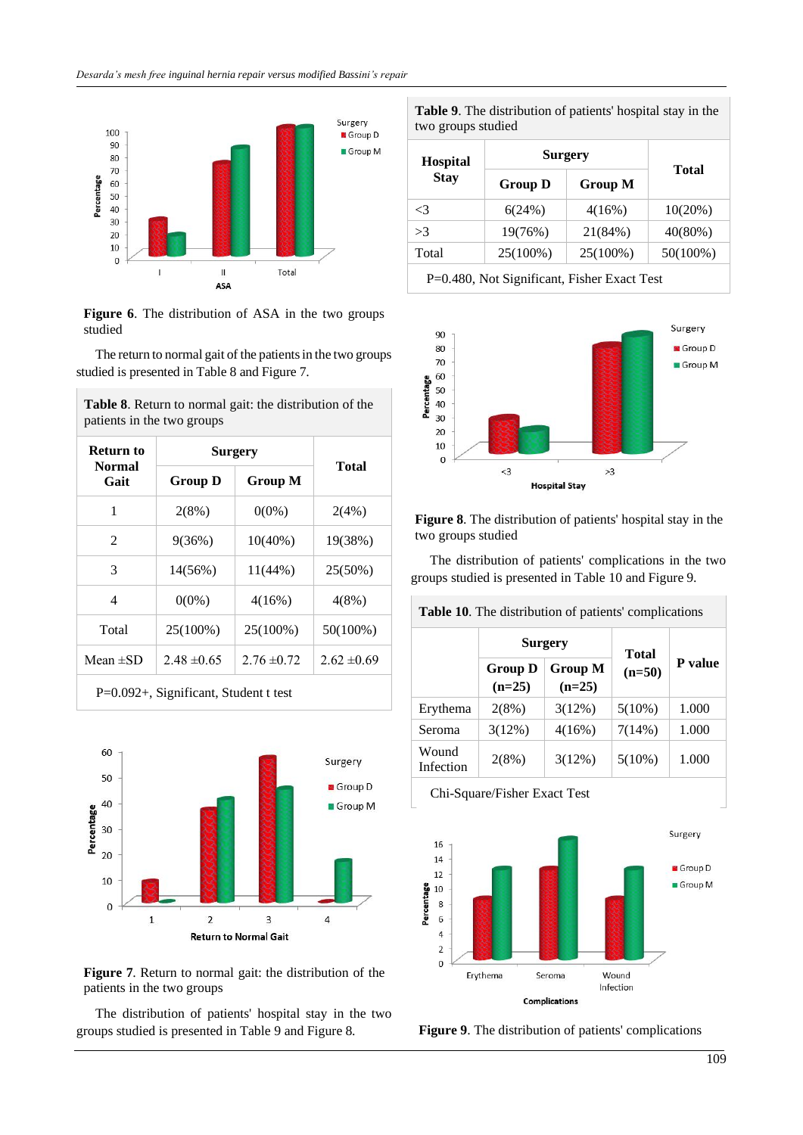

**Figure 6**. The distribution of ASA in the two groups studied

The return to normal gait of the patients in the two groups studied is presented in Table 8 and Figure 7.

**Table 8**. Return to normal gait: the distribution of the

| Return to      | <b>Surgery</b>                   |                 |                 |  |
|----------------|----------------------------------|-----------------|-----------------|--|
| Normal<br>Gait | <b>Group M</b><br><b>Group D</b> |                 | Total           |  |
| 1              | $2(8\%)$                         | $0(0\%)$        | 2(4%)           |  |
| $\mathfrak{D}$ | 9(36%)                           | $10(40\%)$      | 19(38%)         |  |
| 3              | $14(56\%)$                       | $11(44\%)$      | 25(50%)         |  |
| 4              | $0(0\%)$                         | 4(16%)          | $4(8\%)$        |  |
| Total          | 25(100%)                         | 25(100%)        | 50(100%)        |  |
| Mean $\pm$ SD  | $2.48 \pm 0.65$                  | $2.76 \pm 0.72$ | $2.62 \pm 0.69$ |  |



**Figure 7**. Return to normal gait: the distribution of the patients in the two groups

The distribution of patients' hospital stay in the two groups studied is presented in Table 9 and Figure 8.

**Table 9**. The distribution of patients' hospital stay in the two groups studied

| <b>Hospital</b><br><b>Stay</b>              | <b>Surgery</b> |                |              |  |
|---------------------------------------------|----------------|----------------|--------------|--|
|                                             | <b>Group D</b> | <b>Group M</b> | <b>Total</b> |  |
| $\leq$ 3                                    | 6(24%)         | 4(16%)         | 10(20%)      |  |
| >3                                          | 19(76%)        | 21(84%)        | $40(80\%)$   |  |
| Total                                       | 25(100%)       | 25(100%)       | $50(100\%)$  |  |
| P=0.480, Not Significant, Fisher Exact Test |                |                |              |  |



**Figure 8**. The distribution of patients' hospital stay in the two groups studied

The distribution of patients' complications in the two groups studied is presented in Table 10 and Figure 9.

| Table 10. The distribution of patients' complications |                            |                     |              |                |  |  |
|-------------------------------------------------------|----------------------------|---------------------|--------------|----------------|--|--|
|                                                       | <b>Surgery</b>             |                     | <b>Total</b> |                |  |  |
|                                                       | <b>Group D</b><br>$(n=25)$ | Group M<br>$(n=25)$ | $(n=50)$     | <b>P</b> value |  |  |
| Erythema                                              | $2(8\%)$                   | 3(12%)              | $5(10\%)$    | 1.000          |  |  |
| Seroma                                                | 3(12%)                     | $4(16\%)$           | 7(14%)       | 1.000          |  |  |
| Wound<br>Infection                                    | 2(8%)                      | $3(12\%)$           | $5(10\%)$    | 1.000          |  |  |
| Chi-Square/Fisher Exact Test                          |                            |                     |              |                |  |  |



**Figure 9**. The distribution of patients' complications

 $\sim$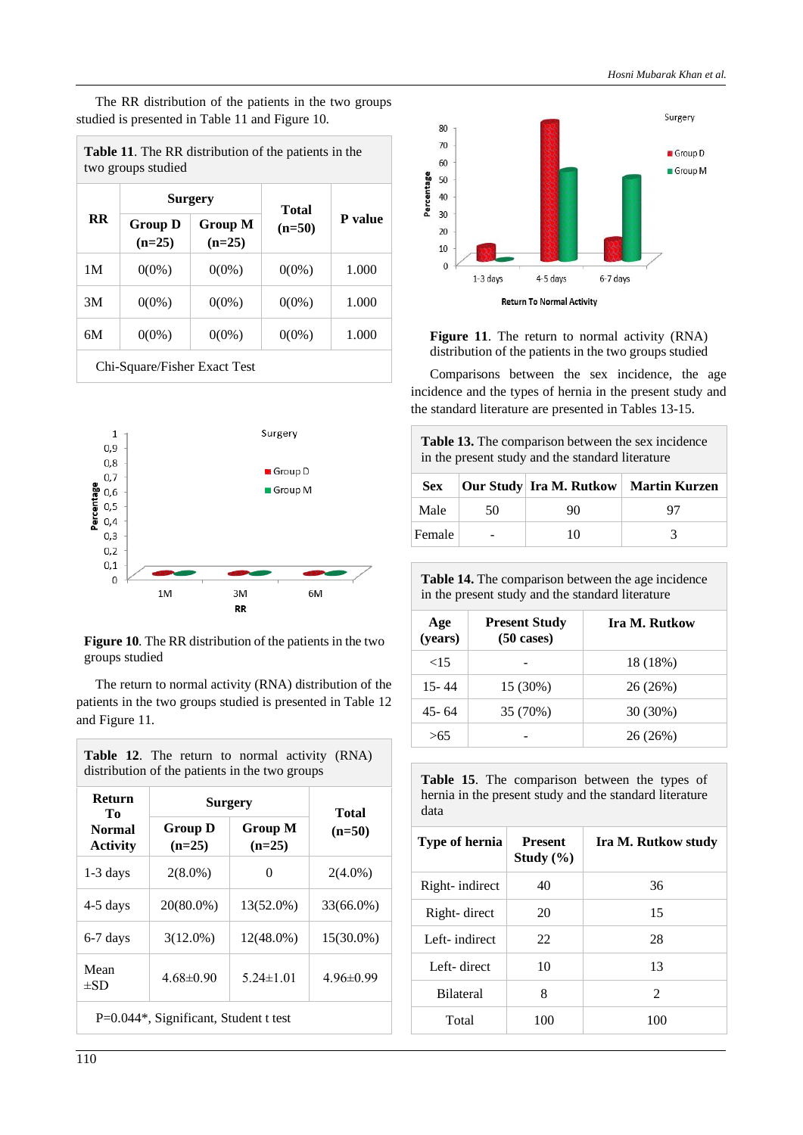The RR distribution of the patients in the two groups studied is presented in Table 11 and Figure 10.

| <b>Table 11.</b> The RR distribution of the patients in the |
|-------------------------------------------------------------|
| two groups studied                                          |

| <b>RR</b> | <b>Surgery</b>               |                     | <b>Total</b> |         |
|-----------|------------------------------|---------------------|--------------|---------|
|           | <b>Group D</b><br>$(n=25)$   | Group M<br>$(n=25)$ | $(n=50)$     | P value |
| 1M        | $0(0\%)$                     | $0(0\%)$            | $0(0\%)$     | 1.000   |
| 3M        | $0(0\%)$                     | $0(0\%)$            | $0(0\%)$     | 1.000   |
| 6M        | $0(0\%)$                     | $0(0\%)$            | $0(0\%)$     | 1.000   |
|           | Chi-Square/Fisher Exact Test |                     |              |         |



**Figure 10**. The RR distribution of the patients in the two groups studied

The return to normal activity (RNA) distribution of the patients in the two groups studied is presented in Table 12 and Figure 11.

| <b>Return</b><br>Tо<br>Normal<br><b>Activity</b> | <b>Surgery</b>             |                     | Total           |
|--------------------------------------------------|----------------------------|---------------------|-----------------|
|                                                  | <b>Group D</b><br>$(n=25)$ | Group M<br>$(n=25)$ | $(n=50)$        |
| $1-3$ days                                       | $2(8.0\%)$                 | $\Omega$            | $2(4.0\%)$      |
| 4-5 days                                         | 20(80.0%)                  | 13(52.0%)           | 33(66.0%)       |
| 6-7 days                                         | $3(12.0\%)$                | 12(48.0%)           | 15(30.0%)       |
| Mean<br>$\pm$ SD                                 | $4.68 \pm 0.90$            | $5.24 \pm 1.01$     | $4.96 \pm 0.99$ |



Figure 11. The return to normal activity (RNA) distribution of the patients in the two groups studied

Comparisons between the sex incidence, the age incidence and the types of hernia in the present study and the standard literature are presented in Tables 13-15.

**Table 13.** The comparison between the sex incidence in the present study and the standard literature

| <b>Sex</b> |    |    | Our Study   Ira M. Rutkow   Martin Kurzen |
|------------|----|----|-------------------------------------------|
| Male       | 50 | 90 | 97                                        |
| Female     |    | 10 |                                           |

| <b>Table 14.</b> The comparison between the age incidence |
|-----------------------------------------------------------|
| in the present study and the standard literature          |

| Age<br>(years) | <b>Present Study</b><br>$(50 \text{ cases})$ | Ira M. Rutkow |
|----------------|----------------------------------------------|---------------|
| ${<}15$        |                                              | 18 (18%)      |
| 15-44          | 15 (30%)                                     | 26 (26%)      |
| 45-64          | 35 (70%)                                     | $30(30\%)$    |
| >65            |                                              | 26 (26%)      |

**Table 15**. The comparison between the types of hernia in the present study and the standard literature data

| Type of hernia   | <b>Present</b><br>Study $(\% )$ | Ira M. Rutkow study |
|------------------|---------------------------------|---------------------|
| Right- indirect  | 40                              | 36                  |
| Right-direct     | 20                              | 15                  |
| Left-indirect    | 22                              | 28                  |
| Left-direct      | 10                              | 13                  |
| <b>Bilateral</b> | 8                               | $\mathfrak{D}$      |
| Total            | 100                             | 100                 |

Г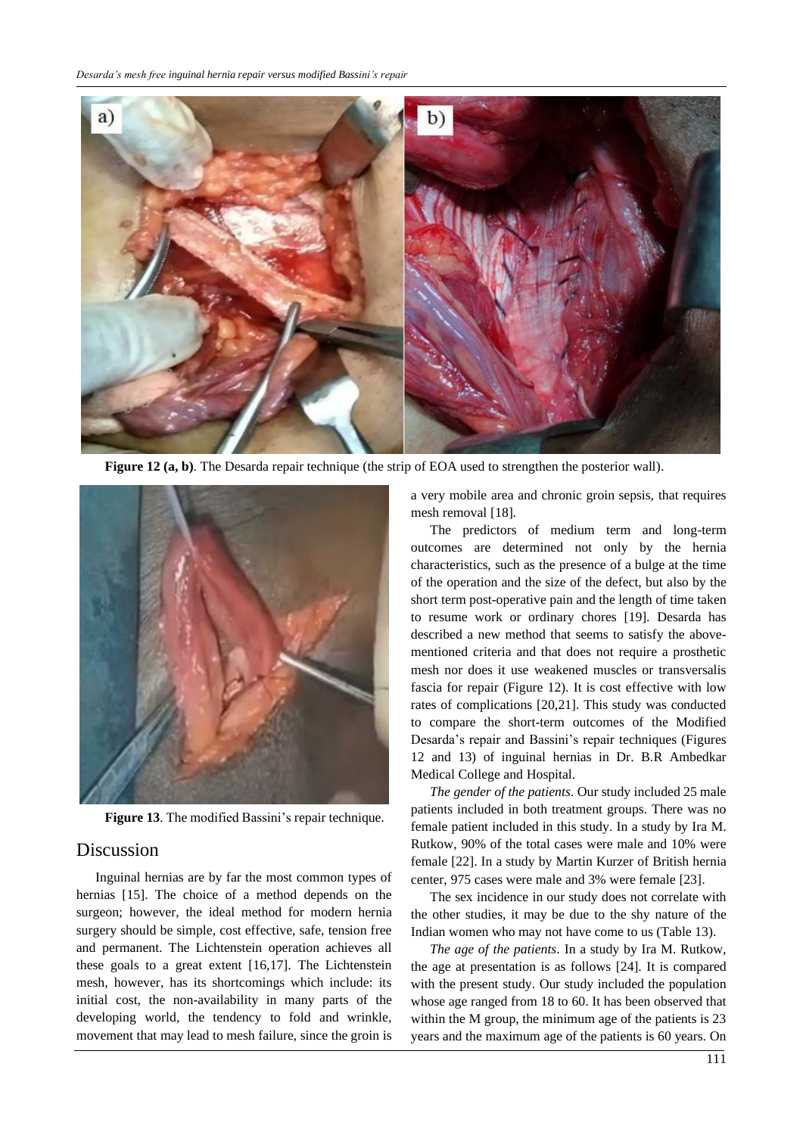

**Figure 12 (a, b)**. The Desarda repair technique (the strip of EOA used to strengthen the posterior wall).



**Figure 13**. The modified Bassini's repair technique.

# Discussion

Inguinal hernias are by far the most common types of hernias [15]. The choice of a method depends on the surgeon; however, the ideal method for modern hernia surgery should be simple, cost effective, safe, tension free and permanent. The Lichtenstein operation achieves all these goals to a great extent [16,17]. The Lichtenstein mesh, however, has its shortcomings which include: its initial cost, the non-availability in many parts of the developing world, the tendency to fold and wrinkle, movement that may lead to mesh failure, since the groin is a very mobile area and chronic groin sepsis, that requires mesh removal [18].

The predictors of medium term and long-term outcomes are determined not only by the hernia characteristics, such as the presence of a bulge at the time of the operation and the size of the defect, but also by the short term post-operative pain and the length of time taken to resume work or ordinary chores [19]. Desarda has described a new method that seems to satisfy the abovementioned criteria and that does not require a prosthetic mesh nor does it use weakened muscles or transversalis fascia for repair (Figure 12). It is cost effective with low rates of complications [20,21]. This study was conducted to compare the short-term outcomes of the Modified Desarda's repair and Bassini's repair techniques (Figures 12 and 13) of inguinal hernias in Dr. B.R Ambedkar Medical College and Hospital.

*The gender of the patients*. Our study included 25 male patients included in both treatment groups. There was no female patient included in this study. In a study by Ira M. Rutkow, 90% of the total cases were male and 10% were female [22]. In a study by Martin Kurzer of British hernia center, 975 cases were male and 3% were female [23].

The sex incidence in our study does not correlate with the other studies, it may be due to the shy nature of the Indian women who may not have come to us (Table 13).

*The age of the patients*. In a study by Ira M. Rutkow, the age at presentation is as follows [24]. It is compared with the present study. Our study included the population whose age ranged from 18 to 60. It has been observed that within the M group, the minimum age of the patients is 23 years and the maximum age of the patients is 60 years. On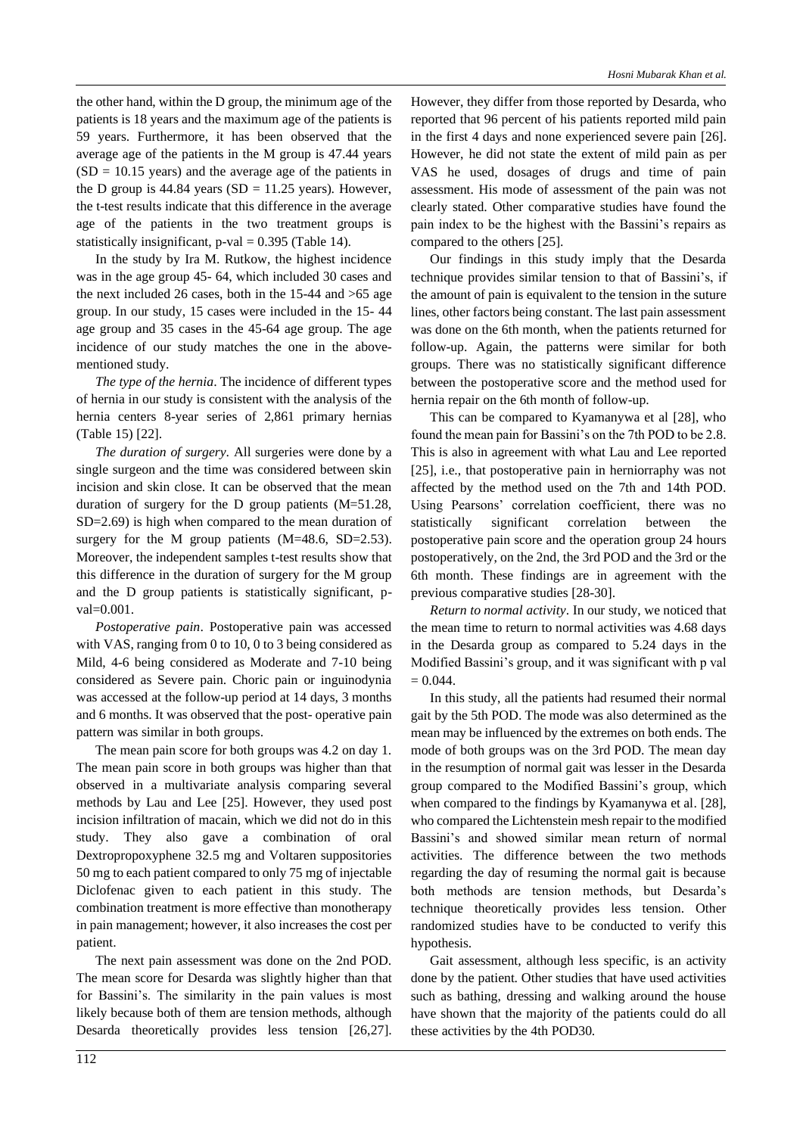the other hand, within the D group, the minimum age of the patients is 18 years and the maximum age of the patients is 59 years. Furthermore, it has been observed that the average age of the patients in the M group is 47.44 years  $(SD = 10.15$  years) and the average age of the patients in the D group is  $44.84$  years (SD = 11.25 years). However, the t-test results indicate that this difference in the average age of the patients in the two treatment groups is statistically insignificant,  $p$ -val = 0.395 (Table 14).

In the study by Ira M. Rutkow, the highest incidence was in the age group 45- 64, which included 30 cases and the next included 26 cases, both in the 15-44 and >65 age group. In our study, 15 cases were included in the 15- 44 age group and 35 cases in the 45-64 age group. The age incidence of our study matches the one in the abovementioned study.

*The type of the hernia*. The incidence of different types of hernia in our study is consistent with the analysis of the hernia centers 8-year series of 2,861 primary hernias (Table 15) [22].

*The duration of surgery*. All surgeries were done by a single surgeon and the time was considered between skin incision and skin close. It can be observed that the mean duration of surgery for the D group patients (M=51.28, SD=2.69) is high when compared to the mean duration of surgery for the M group patients  $(M=48.6, SD=2.53)$ . Moreover, the independent samples t-test results show that this difference in the duration of surgery for the M group and the D group patients is statistically significant, pval=0.001.

*Postoperative pain*. Postoperative pain was accessed with VAS, ranging from 0 to 10, 0 to 3 being considered as Mild, 4-6 being considered as Moderate and 7-10 being considered as Severe pain. Choric pain or inguinodynia was accessed at the follow-up period at 14 days, 3 months and 6 months. It was observed that the post- operative pain pattern was similar in both groups.

The mean pain score for both groups was 4.2 on day 1. The mean pain score in both groups was higher than that observed in a multivariate analysis comparing several methods by Lau and Lee [25]. However, they used post incision infiltration of macain, which we did not do in this study. They also gave a combination of oral Dextropropoxyphene 32.5 mg and Voltaren suppositories 50 mg to each patient compared to only 75 mg of injectable Diclofenac given to each patient in this study. The combination treatment is more effective than monotherapy in pain management; however, it also increases the cost per patient.

The next pain assessment was done on the 2nd POD. The mean score for Desarda was slightly higher than that for Bassini's. The similarity in the pain values is most likely because both of them are tension methods, although Desarda theoretically provides less tension [26,27]. However, they differ from those reported by Desarda, who reported that 96 percent of his patients reported mild pain in the first 4 days and none experienced severe pain [26]. However, he did not state the extent of mild pain as per VAS he used, dosages of drugs and time of pain assessment. His mode of assessment of the pain was not clearly stated. Other comparative studies have found the pain index to be the highest with the Bassini's repairs as compared to the others [25].

Our findings in this study imply that the Desarda technique provides similar tension to that of Bassini's, if the amount of pain is equivalent to the tension in the suture lines, other factors being constant. The last pain assessment was done on the 6th month, when the patients returned for follow-up. Again, the patterns were similar for both groups. There was no statistically significant difference between the postoperative score and the method used for hernia repair on the 6th month of follow-up.

This can be compared to Kyamanywa et al [28], who found the mean pain for Bassini's on the 7th POD to be 2.8. This is also in agreement with what Lau and Lee reported [25], i.e., that postoperative pain in herniorraphy was not affected by the method used on the 7th and 14th POD. Using Pearsons' correlation coefficient, there was no statistically significant correlation between the postoperative pain score and the operation group 24 hours postoperatively, on the 2nd, the 3rd POD and the 3rd or the 6th month. These findings are in agreement with the previous comparative studies [28-30].

*Return to normal activity*. In our study, we noticed that the mean time to return to normal activities was 4.68 days in the Desarda group as compared to 5.24 days in the Modified Bassini's group, and it was significant with p val  $= 0.044.$ 

In this study, all the patients had resumed their normal gait by the 5th POD. The mode was also determined as the mean may be influenced by the extremes on both ends. The mode of both groups was on the 3rd POD. The mean day in the resumption of normal gait was lesser in the Desarda group compared to the Modified Bassini's group, which when compared to the findings by Kyamanywa et al. [28], who compared the Lichtenstein mesh repair to the modified Bassini's and showed similar mean return of normal activities. The difference between the two methods regarding the day of resuming the normal gait is because both methods are tension methods, but Desarda's technique theoretically provides less tension. Other randomized studies have to be conducted to verify this hypothesis.

Gait assessment, although less specific, is an activity done by the patient. Other studies that have used activities such as bathing, dressing and walking around the house have shown that the majority of the patients could do all these activities by the 4th POD30.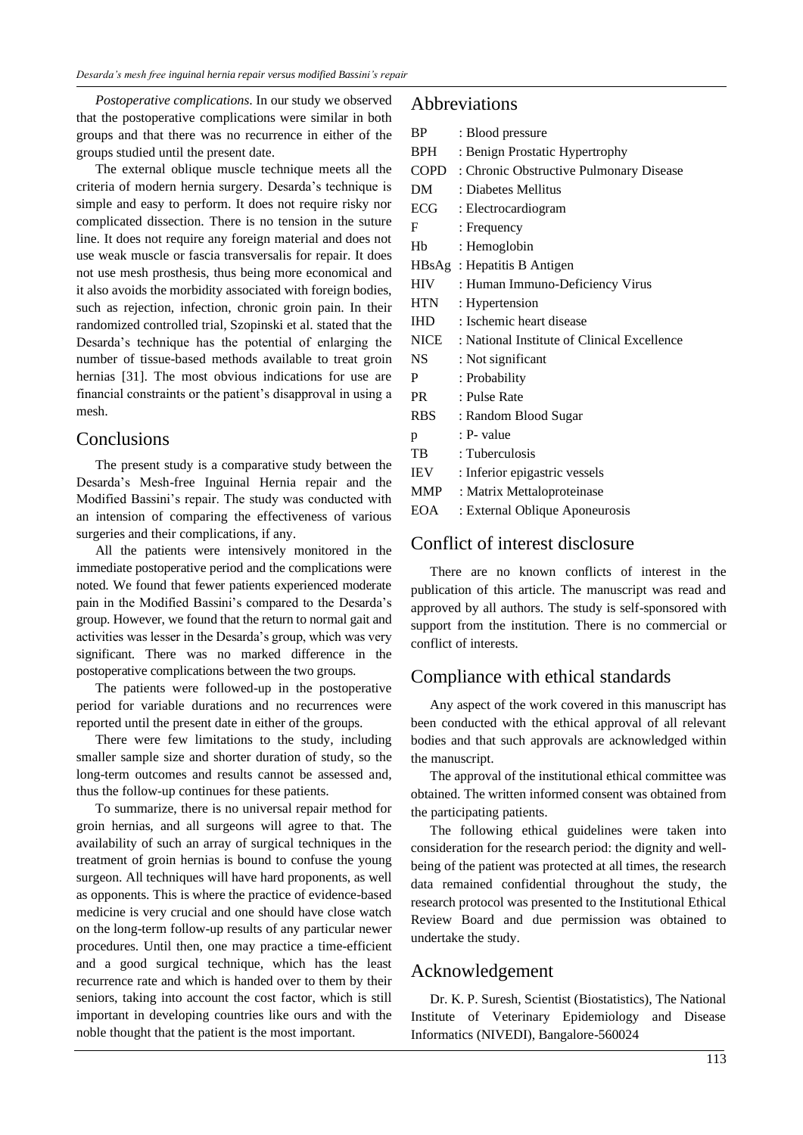*Postoperative complications*. In our study we observed that the postoperative complications were similar in both groups and that there was no recurrence in either of the groups studied until the present date.

The external oblique muscle technique meets all the criteria of modern hernia surgery. Desarda's technique is simple and easy to perform. It does not require risky nor complicated dissection. There is no tension in the suture line. It does not require any foreign material and does not use weak muscle or fascia transversalis for repair. It does not use mesh prosthesis, thus being more economical and it also avoids the morbidity associated with foreign bodies, such as rejection, infection, chronic groin pain. In their randomized controlled trial, Szopinski et al. stated that the Desarda's technique has the potential of enlarging the number of tissue-based methods available to treat groin hernias [31]. The most obvious indications for use are financial constraints or the patient's disapproval in using a mesh.

# **Conclusions**

The present study is a comparative study between the Desarda's Mesh-free Inguinal Hernia repair and the Modified Bassini's repair. The study was conducted with an intension of comparing the effectiveness of various surgeries and their complications, if any.

All the patients were intensively monitored in the immediate postoperative period and the complications were noted. We found that fewer patients experienced moderate pain in the Modified Bassini's compared to the Desarda's group. However, we found that the return to normal gait and activities was lesser in the Desarda's group, which was very significant. There was no marked difference in the postoperative complications between the two groups.

The patients were followed-up in the postoperative period for variable durations and no recurrences were reported until the present date in either of the groups.

There were few limitations to the study, including smaller sample size and shorter duration of study, so the long-term outcomes and results cannot be assessed and, thus the follow-up continues for these patients.

To summarize, there is no universal repair method for groin hernias, and all surgeons will agree to that. The availability of such an array of surgical techniques in the treatment of groin hernias is bound to confuse the young surgeon. All techniques will have hard proponents, as well as opponents. This is where the practice of evidence-based medicine is very crucial and one should have close watch on the long-term follow-up results of any particular newer procedures. Until then, one may practice a time-efficient and a good surgical technique, which has the least recurrence rate and which is handed over to them by their seniors, taking into account the cost factor, which is still important in developing countries like ours and with the noble thought that the patient is the most important.

## Abbreviations

| <b>BP</b>  | : Blood pressure                             |
|------------|----------------------------------------------|
| BPH        | : Benign Prostatic Hypertrophy               |
|            | COPD : Chronic Obstructive Pulmonary Disease |
| DM         | : Diabetes Mellitus                          |
| ECG        | : Electrocardiogram                          |
| F          | : Frequency                                  |
| Hb         | : Hemoglobin                                 |
|            | HBsAg: Hepatitis B Antigen                   |
| <b>HIV</b> | : Human Immuno-Deficiency Virus              |
| <b>HTN</b> | : Hypertension                               |
| <b>IHD</b> | : Ischemic heart disease                     |
| NICE       | : National Institute of Clinical Excellence  |
| NS -       | : Not significant                            |
| P          | : Probability                                |
| <b>PR</b>  | : Pulse Rate                                 |
| <b>RBS</b> | : Random Blood Sugar                         |
| p          | : P- value                                   |
| TB         | : Tuberculosis                               |
| <b>IEV</b> | : Inferior epigastric vessels                |
| MMP        | : Matrix Mettaloproteinase                   |
| <b>EOA</b> | : External Oblique Aponeurosis               |

# Conflict of interest disclosure

There are no known conflicts of interest in the publication of this article. The manuscript was read and approved by all authors. The study is self-sponsored with support from the institution. There is no commercial or conflict of interests.

# Compliance with ethical standards

Any aspect of the work covered in this manuscript has been conducted with the ethical approval of all relevant bodies and that such approvals are acknowledged within the manuscript.

The approval of the institutional ethical committee was obtained. The written informed consent was obtained from the participating patients.

The following ethical guidelines were taken into consideration for the research period: the dignity and wellbeing of the patient was protected at all times, the research data remained confidential throughout the study, the research protocol was presented to the Institutional Ethical Review Board and due permission was obtained to undertake the study.

### Acknowledgement

Dr. K. P. Suresh, Scientist (Biostatistics), The National Institute of Veterinary Epidemiology and Disease Informatics (NIVEDI), Bangalore-560024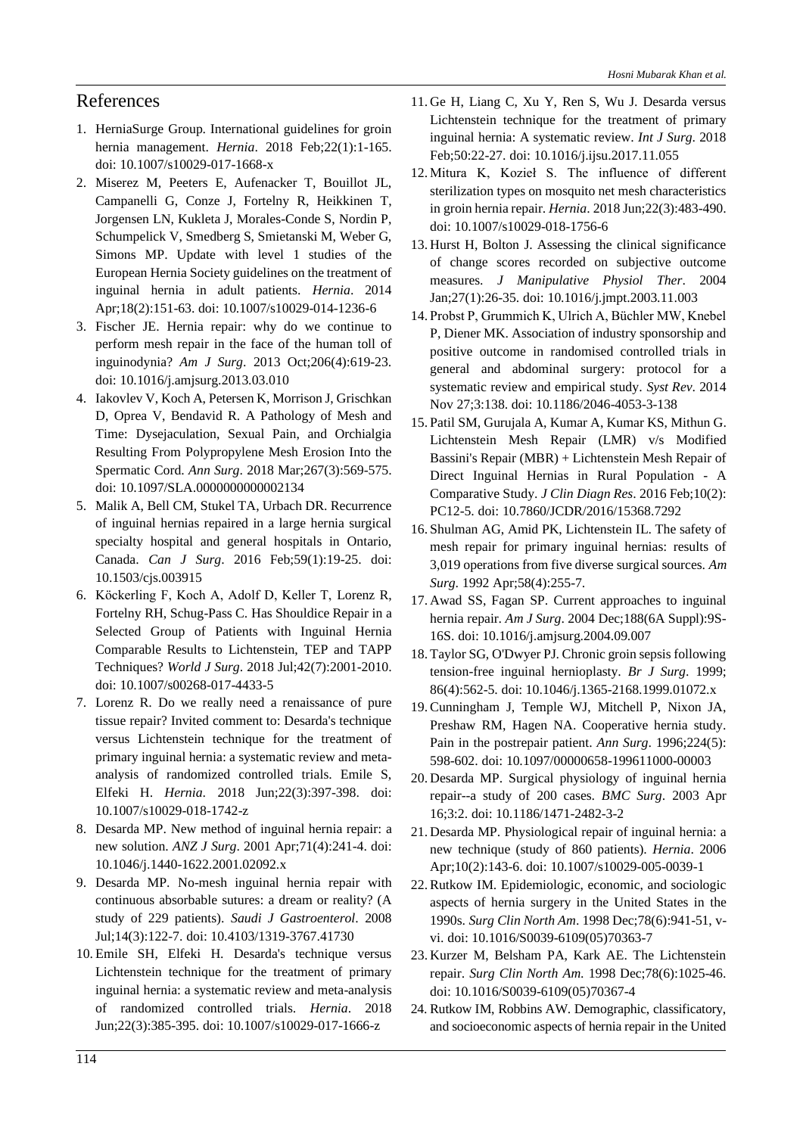# References

- 1. HerniaSurge Group. International guidelines for groin hernia management. *Hernia*. 2018 Feb;22(1):1-165. doi: 10.1007/s10029-017-1668-x
- 2. Miserez M, Peeters E, Aufenacker T, Bouillot JL, Campanelli G, Conze J, Fortelny R, Heikkinen T, Jorgensen LN, Kukleta J, Morales-Conde S, Nordin P, Schumpelick V, Smedberg S, Smietanski M, Weber G, Simons MP. Update with level 1 studies of the European Hernia Society guidelines on the treatment of inguinal hernia in adult patients. *Hernia*. 2014 Apr;18(2):151-63. doi: 10.1007/s10029-014-1236-6
- 3. Fischer JE. Hernia repair: why do we continue to perform mesh repair in the face of the human toll of inguinodynia? *Am J Surg*. 2013 Oct;206(4):619-23. doi: 10.1016/j.amjsurg.2013.03.010
- 4. Iakovlev V, Koch A, Petersen K, Morrison J, Grischkan D, Oprea V, Bendavid R. A Pathology of Mesh and Time: Dysejaculation, Sexual Pain, and Orchialgia Resulting From Polypropylene Mesh Erosion Into the Spermatic Cord. *Ann Surg*. 2018 Mar;267(3):569-575. doi: 10.1097/SLA.0000000000002134
- 5. Malik A, Bell CM, Stukel TA, Urbach DR. Recurrence of inguinal hernias repaired in a large hernia surgical specialty hospital and general hospitals in Ontario, Canada. *Can J Surg*. 2016 Feb;59(1):19-25. doi: 10.1503/cjs.003915
- 6. Köckerling F, Koch A, Adolf D, Keller T, Lorenz R, Fortelny RH, Schug-Pass C. Has Shouldice Repair in a Selected Group of Patients with Inguinal Hernia Comparable Results to Lichtenstein, TEP and TAPP Techniques? *World J Surg*. 2018 Jul;42(7):2001-2010. doi: 10.1007/s00268-017-4433-5
- 7. Lorenz R. Do we really need a renaissance of pure tissue repair? Invited comment to: Desarda's technique versus Lichtenstein technique for the treatment of primary inguinal hernia: a systematic review and metaanalysis of randomized controlled trials. Emile S, Elfeki H. *Hernia*. 2018 Jun;22(3):397-398. doi: 10.1007/s10029-018-1742-z
- 8. Desarda MP. New method of inguinal hernia repair: a new solution. *ANZ J Surg*. 2001 Apr;71(4):241-4. doi: 10.1046/j.1440-1622.2001.02092.x
- 9. Desarda MP. No-mesh inguinal hernia repair with continuous absorbable sutures: a dream or reality? (A study of 229 patients). *Saudi J Gastroenterol*. 2008 Jul;14(3):122-7. doi: 10.4103/1319-3767.41730
- 10. Emile SH, Elfeki H. Desarda's technique versus Lichtenstein technique for the treatment of primary inguinal hernia: a systematic review and meta-analysis of randomized controlled trials. *Hernia*. 2018 Jun;22(3):385-395. doi: 10.1007/s10029-017-1666-z
- 11. Ge H, Liang C, Xu Y, Ren S, Wu J. Desarda versus Lichtenstein technique for the treatment of primary inguinal hernia: A systematic review. *Int J Surg*. 2018 Feb;50:22-27. doi: 10.1016/j.ijsu.2017.11.055
- 12. Mitura K, Kozieł S. The influence of different sterilization types on mosquito net mesh characteristics in groin hernia repair. *Hernia*. 2018 Jun;22(3):483-490. doi: 10.1007/s10029-018-1756-6
- 13. Hurst H, Bolton J. Assessing the clinical significance of change scores recorded on subjective outcome measures. *J Manipulative Physiol Ther*. 2004 Jan;27(1):26-35. doi: 10.1016/j.jmpt.2003.11.003
- 14.Probst P, Grummich K, Ulrich A, Büchler MW, Knebel P, Diener MK. Association of industry sponsorship and positive outcome in randomised controlled trials in general and abdominal surgery: protocol for a systematic review and empirical study. *Syst Rev*. 2014 Nov 27;3:138. doi: 10.1186/2046-4053-3-138
- 15.Patil SM, Gurujala A, Kumar A, Kumar KS, Mithun G. Lichtenstein Mesh Repair (LMR) v/s Modified Bassini's Repair (MBR) + Lichtenstein Mesh Repair of Direct Inguinal Hernias in Rural Population - A Comparative Study. *J Clin Diagn Res*. 2016 Feb;10(2): PC12-5. doi: 10.7860/JCDR/2016/15368.7292
- 16.Shulman AG, Amid PK, Lichtenstein IL. The safety of mesh repair for primary inguinal hernias: results of 3,019 operations from five diverse surgical sources. *Am Surg*. 1992 Apr;58(4):255-7.
- 17. Awad SS, Fagan SP. Current approaches to inguinal hernia repair. *Am J Surg*. 2004 Dec;188(6A Suppl):9S-16S. doi: 10.1016/j.amjsurg.2004.09.007
- 18. Taylor SG, O'Dwyer PJ. Chronic groin sepsis following tension-free inguinal hernioplasty. *Br J Surg*. 1999; 86(4):562-5. doi: 10.1046/j.1365-2168.1999.01072.x
- 19. Cunningham J, Temple WJ, Mitchell P, Nixon JA, Preshaw RM, Hagen NA. Cooperative hernia study. Pain in the postrepair patient. *Ann Surg*. 1996;224(5): 598-602. doi: 10.1097/00000658-199611000-00003
- 20. Desarda MP. Surgical physiology of inguinal hernia repair--a study of 200 cases. *BMC Surg*. 2003 Apr 16;3:2. doi: 10.1186/1471-2482-3-2
- 21. Desarda MP. Physiological repair of inguinal hernia: a new technique (study of 860 patients). *Hernia*. 2006 Apr;10(2):143-6. doi: 10.1007/s10029-005-0039-1
- 22. Rutkow IM. Epidemiologic, economic, and sociologic aspects of hernia surgery in the United States in the 1990s. *Surg Clin North Am*. 1998 Dec;78(6):941-51, vvi. doi: 10.1016/S0039-6109(05)70363-7
- 23. Kurzer M, Belsham PA, Kark AE. The Lichtenstein repair. *Surg Clin North Am*. 1998 Dec;78(6):1025-46. doi: 10.1016/S0039-6109(05)70367-4
- 24. Rutkow IM, Robbins AW. Demographic, classificatory, and socioeconomic aspects of hernia repair in the United